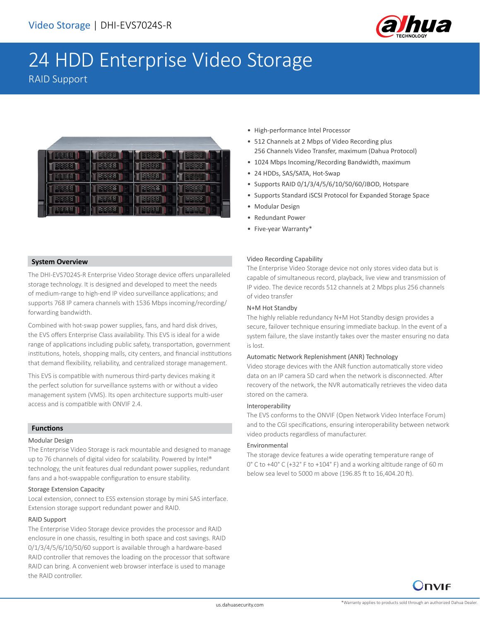

# 24 HDD Enterprise Video Storage

RAID Support

| 医移脉移<br>5 | 王生 好    | 38             | 3888        |
|-----------|---------|----------------|-------------|
| 3838      | 毛を<br>癸 | <b>1888 87</b> | 138         |
| 2833      | B X     |                |             |
| 医多效能      | R 4     |                | <b>3388</b> |
| 더 외정 정    | 医多支多    |                | 8888        |
| ार अ      | 陈陈      |                | PS 58       |

• High-performance Intel Processor

- 512 Channels at 2 Mbps of Video Recording plus 256 Channels Video Transfer, maximum (Dahua Protocol)
- 1024 Mbps Incoming/Recording Bandwidth, maximum
- 24 HDDs, SAS/SATA, Hot-Swap
- Supports RAID 0/1/3/4/5/6/10/50/60/JBOD, Hotspare
- Supports Standard iSCSI Protocol for Expanded Storage Space
- Modular Design
- Redundant Power
- Five-year Warranty\*

#### **System Overview**

The DHI-EVS7024S-R Enterprise Video Storage device offers unparalleled storage technology. It is designed and developed to meet the needs of medium-range to high-end IP video surveillance applications; and supports 768 IP camera channels with 1536 Mbps incoming/recording/ forwarding bandwidth.

Combined with hot-swap power supplies, fans, and hard disk drives, the EVS offers Enterprise Class availability. This EVS is ideal for a wide range of applications including public safety, transportation, government institutions, hotels, shopping malls, city centers, and financial institutions that demand flexibility, reliability, and centralized storage management.

This EVS is compatible with numerous third-party devices making it the perfect solution for surveillance systems with or without a video management system (VMS). Its open architecture supports multi-user access and is compatible with ONVIF 2.4.

#### **Functions**

#### Modular Design

The Enterprise Video Storage is rack mountable and designed to manage up to 76 channels of digital video for scalability. Powered by Intel® technology, the unit features dual redundant power supplies, redundant fans and a hot-swappable configuration to ensure stability.

#### Storage Extension Capacity

Local extension, connect to ESS extension storage by mini SAS interface. Extension storage support redundant power and RAID.

#### RAID Support

The Enterprise Video Storage device provides the processor and RAID enclosure in one chassis, resulting in both space and cost savings. RAID 0/1/3/4/5/6/10/50/60 support is available through a hardware-based RAID controller that removes the loading on the processor that software RAID can bring. A convenient web browser interface is used to manage the RAID controller.

#### Video Recording Capability

The Enterprise Video Storage device not only stores video data but is capable of simultaneous record, playback, live view and transmission of IP video. The device records 512 channels at 2 Mbps plus 256 channels of video transfer

#### N+M Hot Standby

The highly reliable redundancy N+M Hot Standby design provides a secure, failover technique ensuring immediate backup. In the event of a system failure, the slave instantly takes over the master ensuring no data is lost.

#### Automatic Network Replenishment (ANR) Technology

Video storage devices with the ANR function automatically store video data on an IP camera SD card when the network is disconnected. After recovery of the network, the NVR automatically retrieves the video data stored on the camera.

#### Interoperability

The EVS conforms to the ONVIF (Open Network Video Interface Forum) and to the CGI specifications, ensuring interoperability between network video products regardless of manufacturer.

#### Environmental

The storage device features a wide operating temperature range of 0° C to +40° C (+32° F to +104° F) and a working altitude range of 60 m below sea level to 5000 m above (196.85 ft to 16,404.20 ft).

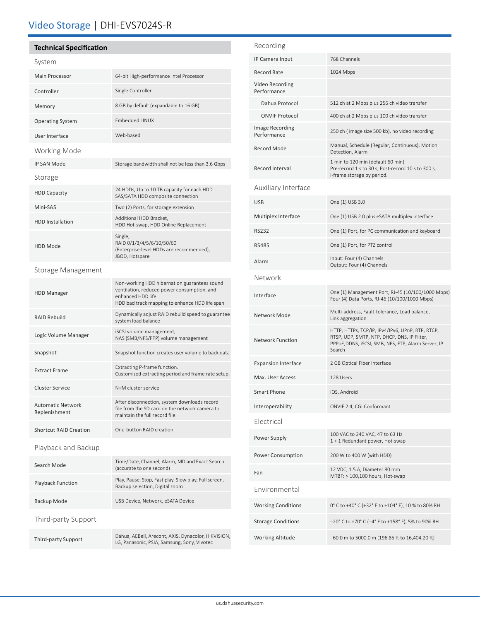# Video Storage | DHI-EVS7024S-R

## **Technical Specification**

|--|

| System                                    |                                                                                                                                                                    |  |  |
|-------------------------------------------|--------------------------------------------------------------------------------------------------------------------------------------------------------------------|--|--|
| <b>Main Processor</b>                     | 64-bit High-performance Intel Processor                                                                                                                            |  |  |
| Controller                                | Single Controller                                                                                                                                                  |  |  |
| Memory                                    | 8 GB by default (expandable to 16 GB)                                                                                                                              |  |  |
| <b>Operating System</b>                   | <b>Embedded LINUX</b>                                                                                                                                              |  |  |
| User Interface                            | Web-based                                                                                                                                                          |  |  |
| Working Mode                              |                                                                                                                                                                    |  |  |
| <b>IP SAN Mode</b>                        | Storage bandwidth shall not be less than 3.6 Gbps                                                                                                                  |  |  |
| Storage                                   |                                                                                                                                                                    |  |  |
| <b>HDD Capacity</b>                       | 24 HDDs, Up to 10 TB capacity for each HDD<br>SAS/SATA HDD composite connection                                                                                    |  |  |
| Mini-SAS                                  | Two (2) Ports, for storage extension                                                                                                                               |  |  |
| <b>HDD</b> Installation                   | Additional HDD Bracket,<br>HDD Hot-swap, HDD Online Replacement                                                                                                    |  |  |
| <b>HDD Mode</b>                           | Single,<br>RAID 0/1/3/4/5/6/10/50/60<br>(Enterprise-level HDDs are recommended),<br>JBOD, Hotspare                                                                 |  |  |
| Storage Management                        |                                                                                                                                                                    |  |  |
| <b>HDD Manager</b>                        | Non-working HDD hibernation guarantees sound<br>ventilation, reduced power consumption, and<br>enhanced HDD life<br>HDD bad track mapping to enhance HDD life span |  |  |
| <b>RAID Rebuild</b>                       | Dynamically adjust RAID rebuild speed to guarantee<br>system load balance                                                                                          |  |  |
| Logic Volume Manager                      | iSCSI volume management,<br>NAS (SMB/NFS/FTP) volume management                                                                                                    |  |  |
| Snapshot                                  | Snapshot function creates user volume to back data                                                                                                                 |  |  |
| <b>Extract Frame</b>                      | Extracting P-frame function.<br>Customized extracting period and frame rate setup.                                                                                 |  |  |
| <b>Cluster Service</b>                    | N+M cluster service                                                                                                                                                |  |  |
| <b>Automatic Network</b><br>Replenishment | After disconnection, system downloads record<br>file from the SD card on the network camera to<br>maintain the full record file                                    |  |  |
| <b>Shortcut RAID Creation</b>             | One-button RAID creation                                                                                                                                           |  |  |
| Playback and Backup                       |                                                                                                                                                                    |  |  |
| Search Mode                               | Time/Date, Channel, Alarm, MD and Exact Search<br>(accurate to one second)                                                                                         |  |  |
| <b>Playback Function</b>                  | Play, Pause, Stop, Fast play, Slow play, Full screen,<br>Backup selection, Digital zoom                                                                            |  |  |
| Backup Mode                               | USB Device, Network, eSATA Device                                                                                                                                  |  |  |
| Third-party Support                       |                                                                                                                                                                    |  |  |
| Third-party Support                       | Dahua, AEBell, Arecont, AXIS, Dynacolor, HIKVISION,<br>LG, Panasonic, PSIA, Samsung, Sony, Vivotec                                                                 |  |  |

| Recording                      |                                                                                                                                                                 |  |  |  |
|--------------------------------|-----------------------------------------------------------------------------------------------------------------------------------------------------------------|--|--|--|
| IP Camera Input                | 768 Channels                                                                                                                                                    |  |  |  |
| <b>Record Rate</b>             | 1024 Mbps                                                                                                                                                       |  |  |  |
| Video Recording<br>Performance |                                                                                                                                                                 |  |  |  |
| Dahua Protocol                 | 512 ch at 2 Mbps plus 256 ch video transfer                                                                                                                     |  |  |  |
| <b>ONVIF Protocol</b>          | 400 ch at 2 Mbps plus 100 ch video transfer                                                                                                                     |  |  |  |
| Image Recording<br>Performance | 250 ch (image size 500 kb), no video recording                                                                                                                  |  |  |  |
| Record Mode                    | Manual, Schedule (Regular, Continuous), Motion<br>Detection, Alarm                                                                                              |  |  |  |
| Record Interval                | 1 min to 120 min (default 60 min)<br>Pre-record 1 s to 30 s, Post-record 10 s to 300 s,<br>I-frame storage by period.                                           |  |  |  |
| Auxiliary Interface            |                                                                                                                                                                 |  |  |  |
| <b>USB</b>                     | One (1) USB 3.0                                                                                                                                                 |  |  |  |
| Multiplex Interface            | One (1) USB 2.0 plus eSATA multiplex interface                                                                                                                  |  |  |  |
| RS232                          | One (1) Port, for PC communication and keyboard                                                                                                                 |  |  |  |
| <b>RS485</b>                   | One (1) Port, for PTZ control                                                                                                                                   |  |  |  |
| Alarm                          | Input: Four (4) Channels<br>Output: Four (4) Channels                                                                                                           |  |  |  |
| Network                        |                                                                                                                                                                 |  |  |  |
| Interface                      | One (1) Management Port, RJ-45 (10/100/1000 Mbps)<br>Four (4) Data Ports, RJ-45 (10/100/1000 Mbps)                                                              |  |  |  |
| Network Mode                   | Multi-address, Fault-tolerance, Load balance,<br>Link aggregation                                                                                               |  |  |  |
| <b>Network Function</b>        | HTTP, HTTPs, TCP/IP, IPv4/IPv6, UPnP, RTP, RTCP,<br>RTSP, UDP, SMTP, NTP, DHCP, DNS, IP Filter,<br>PPPoE,DDNS, iSCSI, SMB, NFS, FTP, Alarm Server, IP<br>Search |  |  |  |
| <b>Expansion Interface</b>     | 2 GB Optical Fiber Interface                                                                                                                                    |  |  |  |
| Max. User Access               | 128 Users                                                                                                                                                       |  |  |  |
| <b>Smart Phone</b>             | IOS, Android                                                                                                                                                    |  |  |  |
| Interoperability               | ONVIF 2.4, CGI Conformant                                                                                                                                       |  |  |  |
| Electrical                     |                                                                                                                                                                 |  |  |  |
| Power Supply                   | 100 VAC to 240 VAC, 47 to 63 Hz<br>1 + 1 Redundant power, Hot-swap                                                                                              |  |  |  |
| <b>Power Consumption</b>       | 200 W to 400 W (with HDD)                                                                                                                                       |  |  |  |
| Fan                            | 12 VDC, 1.5 A, Diameter 80 mm<br>MTBF: > 100,100 hours, Hot-swap                                                                                                |  |  |  |
| Environmental                  |                                                                                                                                                                 |  |  |  |
| <b>Working Conditions</b>      | 0° C to +40° C (+32° F to +104° F), 10 % to 80% RH                                                                                                              |  |  |  |
| <b>Storage Conditions</b>      | -20° C to +70° C (-4° F to +158° F), 5% to 90% RH                                                                                                               |  |  |  |
| <b>Working Altitude</b>        | -60.0 m to 5000.0 m (196.85 ft to 16,404.20 ft)                                                                                                                 |  |  |  |